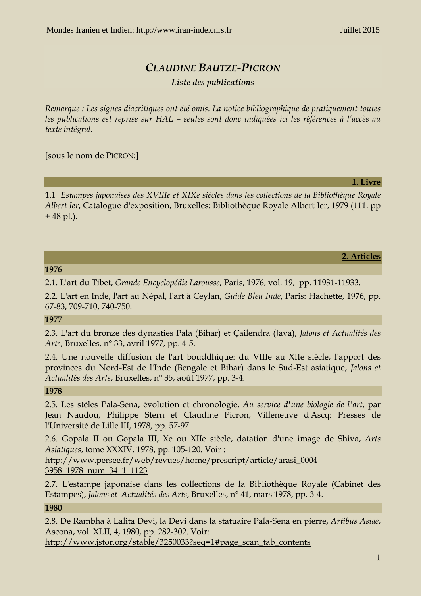# *CLAUDINE BAUTZE-PICRON*

## *Liste des publications*

*Remarque : Les signes diacritiques ont été omis. La notice bibliographique de pratiquement toutes les publications est reprise sur HAL – seules sont donc indiquées ici les références à l'accès au texte intégral.* 

[sous le nom de PICRON:]

#### **1. Livre**

1.1 *Estampes japonaises des XVIIIe et XIXe siècles dans les collections de la Bibliothèque Royale Albert Ier*, Catalogue d'exposition, Bruxelles: Bibliothèque Royale Albert Ier, 1979 (111. pp + 48 pl.).

### **2. Articles**

### **1976**

2.1. L'art du Tibet, *Grande Encyclopédie Larousse*, Paris, 1976, vol. 19, pp. 11931-11933.

2.2. L'art en Inde, l'art au Népal, l'art à Ceylan, *Guide Bleu Inde*, Paris: Hachette, 1976, pp. 67-83, 709-710, 740-750.

## **1977**

2.3. L'art du bronze des dynasties Pala (Bihar) et Çailendra (Java), *Jalons et Actualités des Arts*, Bruxelles, n° 33, avril 1977, pp. 4-5.

2.4. Une nouvelle diffusion de l'art bouddhique: du VIIIe au XIIe siècle, l'apport des provinces du Nord-Est de l'Inde (Bengale et Bihar) dans le Sud-Est asiatique, *Jalons et Actualités des Arts*, Bruxelles, n° 35, août 1977, pp. 3-4.

## **1978**

2.5. Les stèles Pala-Sena, évolution et chronologie, *Au service d'une biologie de l'art*, par Jean Naudou, Philippe Stern et Claudine Picron, Villeneuve d'Ascq: Presses de l'Université de Lille III, 1978, pp. 57-97.

2.6. Gopala II ou Gopala III, Xe ou XIIe siècle, datation d'une image de Shiva, *Arts Asiatiques*, tome XXXIV, 1978, pp. 105-120. Voir :

http://www.persee.fr/web/revues/home/prescript/article/arasi\_0004- 3958\_1978\_num\_34\_1\_1123

2.7. L'estampe japonaise dans les collections de la Bibliothèque Royale (Cabinet des Estampes), *Jalons et Actualités des Arts*, Bruxelles, n° 41, mars 1978, pp. 3-4.

## **1980**

2.8. De Rambha à Lalita Devi, la Devi dans la statuaire Pala-Sena en pierre, *Artibus Asiae*, Ascona, vol. XLII, 4, 1980, pp. 282-302. Voir:

http://www.jstor.org/stable/3250033?seq=1#page\_scan\_tab\_contents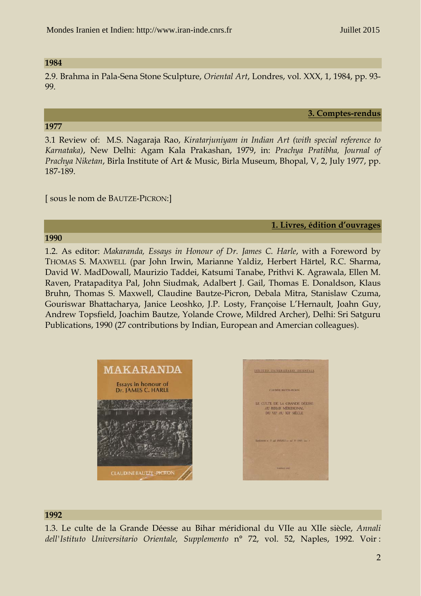#### **1984**

2.9. Brahma in Pala-Sena Stone Sculpture, *Oriental Art*, Londres, vol. XXX, 1, 1984, pp. 93- 99.

#### **3. Comptes-rendus**

### **1977**

3.1 Review of: M.S. Nagaraja Rao, *Kiratarjuniyam in Indian Art (with special reference to Karnataka)*, New Delhi: Agam Kala Prakashan, 1979, in: *Prachya Pratibha, Journal of Prachya Niketan*, Birla Institute of Art & Music, Birla Museum, Bhopal, V, 2, July 1977, pp. 187-189.

[ sous le nom de BAUTZE-PICRON:]

### **1. Livres, édition d'ouvrages**

# **1990**

1.2. As editor: *Makaranda, Essays in Honour of Dr. James C. Harle*, with a Foreword by THOMAS S. MAXWELL (par John Irwin, Marianne Yaldiz, Herbert Härtel, R.C. Sharma, David W. MadDowall, Maurizio Taddei, Katsumi Tanabe, Prithvi K. Agrawala, Ellen M. Raven, Pratapaditya Pal, John Siudmak, Adalbert J. Gail, Thomas E. Donaldson, Klaus Bruhn, Thomas S. Maxwell, Claudine Bautze-Picron, Debala Mitra, Stanislaw Czuma, Gouriswar Bhattacharya, Janice Leoshko, J.P. Losty, Françoise L'Hernault, Joahn Guy, Andrew Topsfield, Joachim Bautze, Yolande Crowe, Mildred Archer), Delhi: Sri Satguru Publications, 1990 (27 contributions by Indian, European and Amercian colleagues).



#### **1992**

1.3. Le culte de la Grande Déesse au Bihar méridional du VIIe au XIIe siècle, *Annali dell'Istituto Universitario Orientale, Supplemento* n° 72, vol. 52, Naples, 1992. Voir :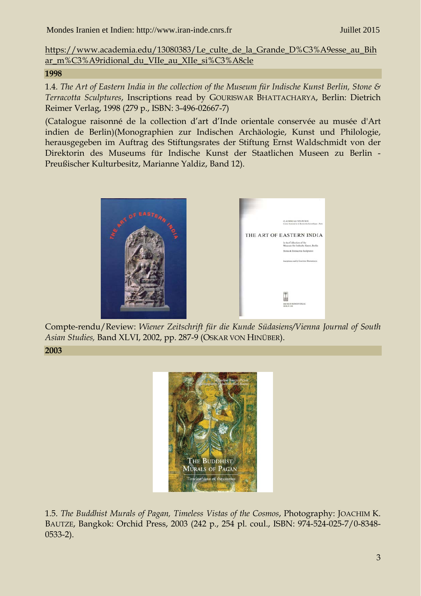https://www.academia.edu/13080383/Le\_culte\_de\_la\_Grande\_D%C3%A9esse\_au\_Bih ar\_m%C3%A9ridional\_du\_VIIe\_au\_XIIe\_si%C3%A8cle

## **1998**

1.4. *The Art of Eastern India in the collection of the Museum für Indische Kunst Berlin, Stone & Terracotta Sculptures*, Inscriptions read by GOURISWAR BHATTACHARYA, Berlin: Dietrich Reimer Verlag, 1998 (279 p., ISBN: 3-496-02667-7)

(Catalogue raisonné de la collection d'art d'Inde orientale conservée au musée d'Art indien de Berlin)(Monographien zur Indischen Archäologie, Kunst und Philologie, herausgegeben im Auftrag des Stiftungsrates der Stiftung Ernst Waldschmidt von der Direktorin des Museums für Indische Kunst der Staatlichen Museen zu Berlin - Preußischer Kulturbesitz, Marianne Yaldiz, Band 12).



Compte-rendu/Review: *Wiener Zeitschrift für die Kunde Südasiens/Vienna Journal of South Asian Studies,* Band XLVI, 2002, pp. 287-9 (OSKAR VON HINÜBER).

**2003**



1.5. *The Buddhist Murals of Pagan, Timeless Vistas of the Cosmos*, Photography: JOACHIM K. BAUTZE, Bangkok: Orchid Press, 2003 (242 p., 254 pl. coul., ISBN: 974-524-025-7/0-8348- 0533-2).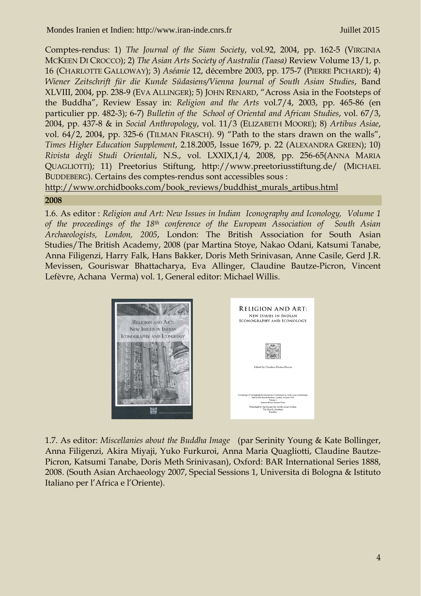Comptes-rendus: 1) *The Journal of the Siam Society*, vol.92, 2004, pp. 162-5 (VIRGINIA MCKEEN DI CROCCO); 2) *The Asian Arts Society of Australia (Taasa)* Review Volume 13/1, p. 16 (CHARLOTTE GALLOWAY); 3) *Aséanie* 12, décembre 2003, pp. 175-7 (PIERRE PICHARD); 4) *Wiener Zeitschrift für die Kunde Südasiens/Vienna Journal of South Asian Studies*, Band XLVIII, 2004, pp. 238-9 (EVA ALLINGER); 5) JOHN RENARD, "Across Asia in the Footsteps of the Buddha", Review Essay in: *Religion and the Arts* vol.7/4, 2003, pp. 465-86 (en particulier pp. 482-3); 6-7) *Bulletin of the School of Oriental and African Studies*, vol. 67/3, 2004, pp. 437-8 & in *Social Anthropology*, vol. 11/3 (ELIZABETH MOORE); 8) *Artibus Asiae*, vol. 64/2, 2004, pp. 325-6 (TILMAN FRASCH). 9) "Path to the stars drawn on the walls", *Times Higher Education Supplement*, 2.18.2005, Issue 1679, p. 22 (ALEXANDRA GREEN); 10) *Rivista degli Studi Orientali*, N.S., vol. LXXIX,1/4, 2008, pp. 256-65(ANNA MARIA QUAGLIOTTI); 11) Preetorius Stiftung, http://www.preetoriusstiftung.de/ (MICHAEL BUDDEBERG). Certains des comptes-rendus sont accessibles sous : http://www.orchidbooks.com/book\_reviews/buddhist\_murals\_artibus.html

#### **2008**

1.6. As editor : *Religion and Art: New Issues in Indian Iconography and Iconology, Volume 1 of the proceedings of the 18th conference of the European Association of South Asian Archaeologists, London, 2005*, London: The British Association for South Asian Studies/The British Academy, 2008 (par Martina Stoye, Nakao Odani, Katsumi Tanabe, Anna Filigenzi, Harry Falk, Hans Bakker, Doris Meth Srinivasan, Anne Casile, Gerd J.R. Mevissen, Gouriswar Bhattacharya, Eva Allinger, Claudine Bautze-Picron, Vincent Lefèvre, Achana Verma) vol. 1, General editor: Michael Willis.



1.7. As editor: *Miscellanies about the Buddha Image* (par Serinity Young & Kate Bollinger, Anna Filigenzi, Akira Miyaji, Yuko Furkuroi, Anna Maria Quagliotti, Claudine Bautze-Picron, Katsumi Tanabe, Doris Meth Srinivasan), Oxford: BAR International Series 1888, 2008. (South Asian Archaeology 2007, Special Sessions 1, Universita di Bologna & Istituto Italiano per l'Africa e l'Oriente).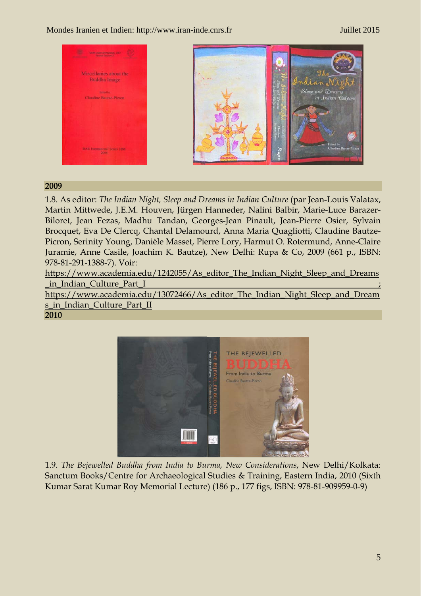### Mondes Iranien et Indien: http://www.iran-inde.cnrs.fr Juillet 2015



#### **2009**

1.8. As editor: *The Indian Night, Sleep and Dreams in Indian Culture* (par Jean-Louis Valatax, Martin Mittwede, J.E.M. Houven, Jürgen Hanneder, Nalini Balbir, Marie-Luce Barazer-Biloret, Jean Fezas, Madhu Tandan, Georges-Jean Pinault, Jean-Pierre Osier, Sylvain Brocquet, Eva De Clercq, Chantal Delamourd, Anna Maria Quagliotti, Claudine Bautze-Picron, Serinity Young, Danièle Masset, Pierre Lory, Harmut O. Rotermund, Anne-Claire Juramie, Anne Casile, Joachim K. Bautze), New Delhi: Rupa & Co, 2009 (661 p., ISBN: 978-81-291-1388-7). Voir:

https://www.academia.edu/1242055/As\_editor\_The\_Indian\_Night\_Sleep\_and\_Dreams in Indian Culture Part I

https://www.academia.edu/13072466/As\_editor\_The\_Indian\_Night\_Sleep\_and\_Dream s\_in\_Indian\_Culture\_Part\_II

**2010** 



1.9. *The Bejewelled Buddha from India to Burma, New Considerations*, New Delhi/Kolkata: Sanctum Books/Centre for Archaeological Studies & Training, Eastern India, 2010 (Sixth Kumar Sarat Kumar Roy Memorial Lecture) (186 p., 177 figs, ISBN: 978-81-909959-0-9)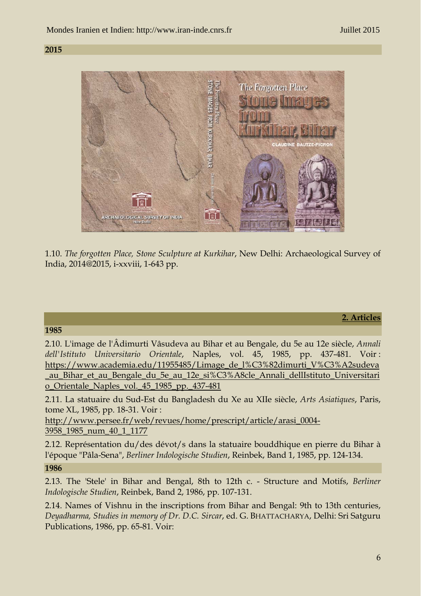#### **2015**



1.10. *The forgotten Place, Stone Sculpture at Kurkihar*, New Delhi: Archaeological Survey of India, 2014@2015, i-xxviii, 1-643 pp.

#### **2. Articles**

#### **1985**

2.10. L'image de l'Âdimurti Vâsudeva au Bihar et au Bengale, du 5e au 12e siècle, *Annali dell'Istituto Universitario Orientale*, Naples, vol. 45, 1985, pp. 437-481. Voir : https://www.academia.edu/11955485/Limage\_de\_l%C3%82dimurti\_V%C3%A2sudeva \_au\_Bihar\_et\_au\_Bengale\_du\_5e\_au\_12e\_si%C3%A8cle\_Annali\_dellIstituto\_Universitari o\_Orientale\_Naples\_vol.\_45\_1985\_pp.\_437-481

2.11. La statuaire du Sud-Est du Bangladesh du Xe au XIIe siècle, *Arts Asiatiques*, Paris, tome XL, 1985, pp. 18-31. Voir :

http://www.persee.fr/web/revues/home/prescript/article/arasi\_0004- 3958\_1985\_num\_40\_1\_1177

2.12. Représentation du/des dévot/s dans la statuaire bouddhique en pierre du Bihar à l'époque "Pâla-Sena", *Berliner Indologische Studien*, Reinbek, Band 1, 1985, pp. 124-134.

#### **1986**

2.13. The 'Stele' in Bihar and Bengal, 8th to 12th c. - Structure and Motifs, *Berliner Indologische Studien*, Reinbek, Band 2, 1986, pp. 107-131.

2.14. Names of Vishnu in the inscriptions from Bihar and Bengal: 9th to 13th centuries, *Deyadharma, Studies in memory of Dr. D.C. Sircar*, ed. G. BHATTACHARYA, Delhi: Sri Satguru Publications, 1986, pp. 65-81. Voir: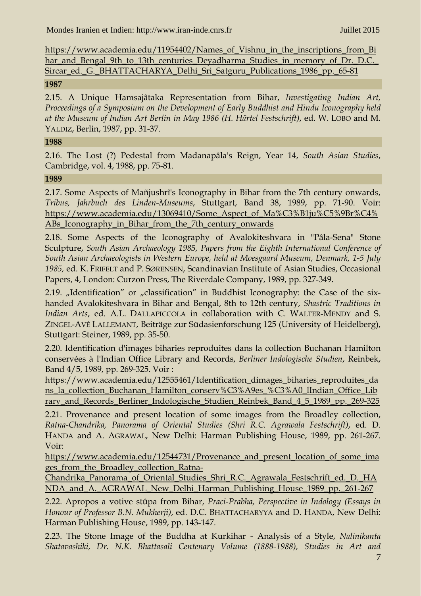https://www.academia.edu/11954402/Names\_of\_Vishnu\_in\_the\_inscriptions\_from\_Bi har and Bengal 9th to 13th centuries Deyadharma Studies in memory of Dr. D.C. Sircar\_ed.\_G.\_BHATTACHARYA\_Delhi\_Sri\_Satguru\_Publications\_1986\_pp.\_65-81 **1987**

2.15. A Unique Hamsajâtaka Representation from Bihar, *Investigating Indian Art, Proceedings of a Symposium on the Development of Early Buddhist and Hindu Iconography held at the Museum of Indian Art Berlin in May 1986 (H. Härtel Festschrift)*, ed. W. LOBO and M. YALDIZ, Berlin, 1987, pp. 31-37.

### **1988**

2.16. The Lost (?) Pedestal from Madanapâla's Reign, Year 14, *South Asian Studies*, Cambridge, vol. 4, 1988, pp. 75-81.

**1989**

2.17. Some Aspects of Mañjushrî's Iconography in Bihar from the 7th century onwards, *Tribus, Jahrbuch des Linden-Museums*, Stuttgart, Band 38, 1989, pp. 71-90. Voir: https://www.academia.edu/13069410/Some\_Aspect\_of\_Ma%C3%B1ju%C5%9Br%C4% ABs\_Iconography\_in\_Bihar\_from\_the\_7th\_century\_onwards

2.18. Some Aspects of the Iconography of Avalokiteshvara in "Pâla-Sena" Stone Sculpture, *South Asian Archaeology 1985, Papers from the Eighth International Conference of South Asian Archaeologists in Western Europe, held at Moesgaard Museum, Denmark, 1-5 July 1985,* ed. K. FRIFELT and P. SØRENSEN, Scandinavian Institute of Asian Studies, Occasional Papers, 4, London: Curzon Press, The Riverdale Company, 1989, pp. 327-349.

2.19. "Identification" or "classification" in Buddhist Iconography: the Case of the sixhanded Avalokiteshvara in Bihar and Bengal, 8th to 12th century, *Shastric Traditions in Indian Arts*, ed. A.L. DALLAPICCOLA in collaboration with C. WALTER-MENDY and S. ZINGEL-AVÉ LALLEMANT, Beiträge zur Südasienforschung 125 (University of Heidelberg), Stuttgart: Steiner, 1989, pp. 35-50.

2.20. Identification d'images biharies reproduites dans la collection Buchanan Hamilton conservées à l'Indian Office Library and Records, *Berliner Indologische Studien*, Reinbek, Band 4/5, 1989, pp. 269-325. Voir :

https://www.academia.edu/12555461/Identification\_dimages\_biharies\_reproduites\_da ns\_la\_collection\_Buchanan\_Hamilton\_conserv%C3%A9es\_%C3%A0\_lIndian\_Office\_Lib rary\_and\_Records\_Berliner\_Indologische\_Studien\_Reinbek\_Band\_4\_5\_1989\_pp.\_269-325

2.21. Provenance and present location of some images from the Broadley collection, *Ratna-Chandrika, Panorama of Oriental Studies (Shri R.C. Agrawala Festschrift)*, ed. D. HANDA and A. AGRAWAL, New Delhi: Harman Publishing House, 1989, pp. 261-267. Voir:

https://www.academia.edu/12544731/Provenance\_and\_present\_location\_of\_some\_ima ges\_from\_the\_Broadley\_collection\_Ratna-

Chandrika\_Panorama\_of\_Oriental\_Studies\_Shri\_R.C.\_Agrawala\_Festschrift\_ed.\_D.\_HA NDA\_and\_A.\_AGRAWAL\_New\_Delhi\_Harman\_Publishing\_House\_1989\_pp.\_261-267

2.22. Apropos a votive stûpa from Bihar, *Praci-Prabha, Perspective in Indology (Essays in Honour of Professor B.N. Mukherji)*, ed. D.C. BHATTACHARYYA and D. HANDA, New Delhi: Harman Publishing House, 1989, pp. 143-147.

2.23. The Stone Image of the Buddha at Kurkihar - Analysis of a Style, *Nalinikanta Shatavashiki, Dr. N.K. Bhattasali Centenary Volume (1888-1988), Studies in Art and*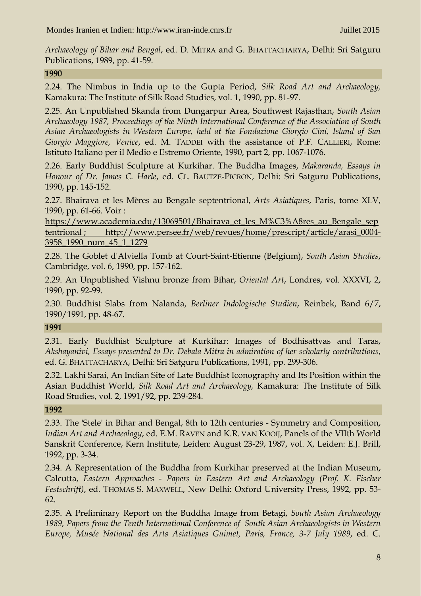*Archaeology of Bihar and Bengal*, ed. D. MITRA and G. BHATTACHARYA, Delhi: Sri Satguru Publications, 1989, pp. 41-59.

**1990**

2.24. The Nimbus in India up to the Gupta Period, *Silk Road Art and Archaeology,* Kamakura: The Institute of Silk Road Studies, vol. 1, 1990, pp. 81-97.

2.25. An Unpublished Skanda from Dungarpur Area, Southwest Rajasthan, *South Asian Archaeology 1987, Proceedings of the Ninth International Conference of the Association of South Asian Archaeologists in Western Europe, held at the Fondazione Giorgio Cini, Island of San Giorgio Maggiore, Venice*, ed. M. TADDEI with the assistance of P.F. CALLIERI, Rome: Istituto Italiano per il Medio e Estremo Oriente, 1990, part 2, pp. 1067-1076.

2.26. Early Buddhist Sculpture at Kurkihar. The Buddha Images, *Makaranda, Essays in Honour of Dr. James C. Harle*, ed. CL. BAUTZE-PICRON, Delhi: Sri Satguru Publications, 1990, pp. 145-152.

2.27. Bhairava et les Mères au Bengale septentrional, *Arts Asiatiques*, Paris, tome XLV, 1990, pp. 61-66. Voir :

https://www.academia.edu/13069501/Bhairava\_et\_les\_M%C3%A8res\_au\_Bengale\_sep tentrional ; http://www.persee.fr/web/revues/home/prescript/article/arasi\_0004- 3958\_1990\_num\_45\_1\_1279

2.28. The Goblet d'Alviella Tomb at Court-Saint-Etienne (Belgium), *South Asian Studies*, Cambridge, vol. 6, 1990, pp. 157-162.

2.29. An Unpublished Vishnu bronze from Bihar, *Oriental Art*, Londres, vol. XXXVI, 2, 1990, pp. 92-99.

2.30. Buddhist Slabs from Nalanda, *Berliner Indologische Studien*, Reinbek, Band 6/7, 1990/1991, pp. 48-67.

**1991**

2.31. Early Buddhist Sculpture at Kurkihar: Images of Bodhisattvas and Taras, *Akshayanivi, Essays presented to Dr. Debala Mitra in admiration of her scholarly contributions*, ed. G. BHATTACHARYA, Delhi: Sri Satguru Publications, 1991, pp. 299-306.

2.32. Lakhi Sarai, An Indian Site of Late Buddhist Iconography and Its Position within the Asian Buddhist World, *Silk Road Art and Archaeology,* Kamakura: The Institute of Silk Road Studies, vol. 2, 1991/92, pp. 239-284.

**1992**

2.33. The 'Stele' in Bihar and Bengal, 8th to 12th centuries - Symmetry and Composition, *Indian Art and Archaeology*, ed. E.M. RAVEN and K.R. VAN KOOIJ, Panels of the VIIth World Sanskrit Conference, Kern Institute, Leiden: August 23-29, 1987, vol. X, Leiden: E.J. Brill, 1992, pp. 3-34.

2.34. A Representation of the Buddha from Kurkihar preserved at the Indian Museum, Calcutta, *Eastern Approaches - Papers in Eastern Art and Archaeology (Prof. K. Fischer Festschrift)*, ed. THOMAS S. MAXWELL, New Delhi: Oxford University Press, 1992, pp. 53- 62.

2.35. A Preliminary Report on the Buddha Image from Betagi, *South Asian Archaeology 1989, Papers from the Tenth International Conference of South Asian Archaeologists in Western Europe, Musée National des Arts Asiatiques Guimet, Paris, France, 3-7 July 1989*, ed. C.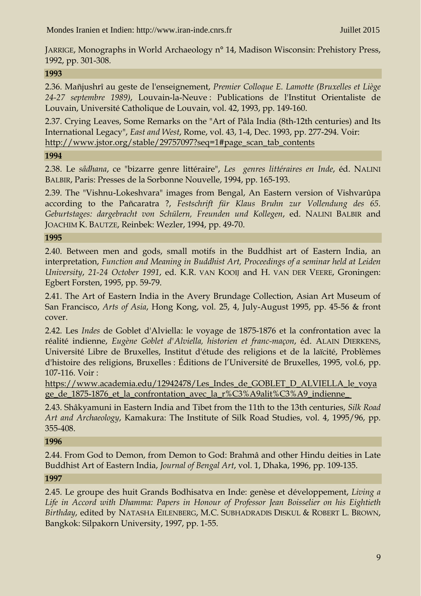JARRIGE, Monographs in World Archaeology n° 14, Madison Wisconsin: Prehistory Press, 1992, pp. 301-308.

**1993**

2.36. Mañjushrî au geste de l'enseignement, *Premier Colloque E. Lamotte (Bruxelles et Liège 24-27 septembre 1989)*, Louvain-la-Neuve : Publications de l'Institut Orientaliste de Louvain, Université Catholique de Louvain, vol. 42, 1993, pp. 149-160.

2.37. Crying Leaves, Some Remarks on the "Art of Pâla India (8th-12th centuries) and Its International Legacy", *East and West*, Rome, vol. 43, 1-4, Dec. 1993, pp. 277-294. Voir: http://www.jstor.org/stable/29757097?seq=1#page\_scan\_tab\_contents

**1994**

2.38. Le *sâdhana*, ce "bizarre genre littéraire", *Les genres littéraires en Inde*, éd. NALINI BALBIR, Paris: Presses de la Sorbonne Nouvelle, 1994, pp. 165-193.

2.39. The "Vishnu-Lokeshvara" images from Bengal, An Eastern version of Vishvarûpa according to the Pañcaratra ?, *Festschrift für Klaus Bruhn zur Vollendung des 65. Geburtstages: dargebracht von Schülern, Freunden und Kollegen*, ed. NALINI BALBIR and JOACHIM K. BAUTZE, Reinbek: Wezler, 1994, pp. 49-70.

## **1995**

2.40. Between men and gods, small motifs in the Buddhist art of Eastern India, an interpretation, *Function and Meaning in Buddhist Art, Proceedings of a seminar held at Leiden University*, *21-24 October 1991*, ed. K.R. VAN KOOIJ and H. VAN DER VEERE, Groningen: Egbert Forsten, 1995, pp. 59-79.

2.41. The Art of Eastern India in the Avery Brundage Collection, Asian Art Museum of San Francisco, *Arts of Asia*, Hong Kong, vol. 25, 4, July-August 1995, pp. 45-56 & front cover.

2.42. Les *Indes* de Goblet d'Alviella: le voyage de 1875-1876 et la confrontation avec la réalité indienne, *Eugène Goblet d'Alviella, historien et franc-maçon*, éd. ALAIN DIERKENS, Université Libre de Bruxelles, Institut d'étude des religions et de la laïcité, Problèmes d'histoire des religions, Bruxelles : Éditions de l'Université de Bruxelles, 1995, vol.6, pp. 107-116. Voir :

https://www.academia.edu/12942478/Les\_Indes\_de\_GOBLET\_D\_ALVIELLA\_le\_voya ge\_de\_1875-1876\_et\_la\_confrontation\_avec\_la\_r%C3%A9alit%C3%A9\_indienne\_

2.43. Shâkyamuni in Eastern India and Tibet from the 11th to the 13th centuries, *Silk Road Art and Archaeology*, Kamakura: The Institute of Silk Road Studies, vol. 4, 1995/96, pp. 355-408.

## **1996**

2.44. From God to Demon, from Demon to God: Brahmâ and other Hindu deities in Late Buddhist Art of Eastern India, *Journal of Bengal Art*, vol. 1, Dhaka, 1996, pp. 109-135.

**1997**

2.45. Le groupe des huit Grands Bodhisatva en Inde: genèse et développement, *Living a Life in Accord with Dhamma: Papers in Honour of Professor Jean Boisselier on his Eightieth Birthday*, edited by NATASHA EILENBERG, M.C. SUBHADRADIS DISKUL & ROBERT L. BROWN, Bangkok: Silpakorn University, 1997, pp. 1-55.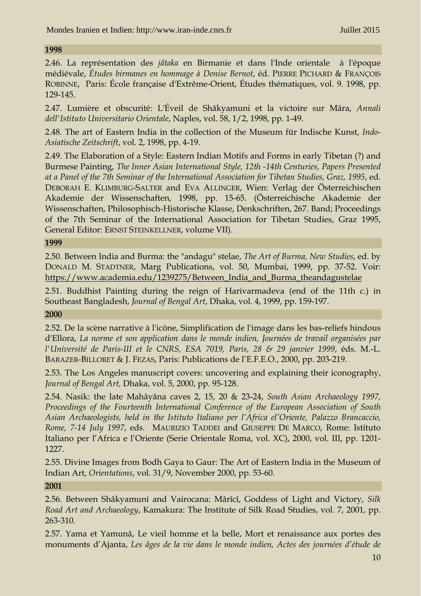**1998**

2.46. La représentation des *jâtaka* en Birmanie et dans l'Inde orientale à l'époque médiévale, *Études birmanes en hommage à Denise Bernot*, éd. PIERRE PICHARD & FRANÇOIS ROBINNE, Paris: École française d'Extrême-Orient, Études thématiques, vol. 9. 1998, pp. 129-145.

2.47. Lumière et obscurité: L'Éveil de Shâkyamuni et la victoire sur Mâra, *Annali dell'Istituto Universitario Orientale*, Naples, vol. 58, 1/2, 1998, pp. 1-49.

2.48. The art of Eastern India in the collection of the Museum für Indische Kunst, *Indo-Asiatische Zeitschrift*, vol. 2, 1998, pp. 4-19.

2.49. The Elaboration of a Style: Eastern Indian Motifs and Forms in early Tibetan (?) and Burmese Painting, *The Inner Asian International Style, 12th -14th Centuries, Papers Presented at a Panel of the 7th Seminar of the International Association for Tibetan Studies, Graz, 1995*, ed. DEBORAH E. KLIMBURG-SALTER and EVA ALLINGER, Wien: Verlag der Österreichischen Akademie der Wissenschaften, 1998, pp. 15-65. (Österreichische Akademie der Wissenschaften, Philosophisch-Historische Klasse, Denkschriften, 267. Band; Proceedings of the 7th Seminar of the International Association for Tibetan Studies, Graz 1995, General Editor: ERNST STEINKELLNER, volume VII).

## **1999**

2.50. Between India and Burma: the "andagu" stelae, *The Art of Burma, New Studies*, ed. by DONALD M. STADTNER, Marg Publications, vol. 50, Mumbai, 1999, pp. 37-52. Voir: https://www.academia.edu/1239275/Between\_India\_and\_Burma\_theandagustelae

2.51. Buddhist Painting during the reign of Harivarmadeva (end of the 11th c.) in Southeast Bangladesh, *Journal of Bengal Art*, Dhaka, vol. 4, 1999, pp. 159-197.

## **2000**

2.52. De la scène narrative à l'icône, Simplification de l'image dans les bas-reliefs hindous d'Ellora, *La norme et son application dans le monde indien, Journées de travail organisées par l'Université de Paris-III et le CNRS, ESA 7019, Paris, 28 & 29 janvier 1999*, éds. M.-L. BARAZER-BILLORET & J. FEZAS, Paris: Publications de l'E.F.E.O., 2000, pp. 203-219.

2.53. The Los Angeles manuscript covers: uncovering and explaining their iconography, *Journal of Bengal Art,* Dhaka, vol. 5, 2000, pp. 95-128.

2.54. Nasik: the late Mahâyâna caves 2, 15, 20 & 23-24, *South Asian Archaeology 1997, Proceedings of the Fourteenth International Conference of the European Association of South Asian Archaeologists, held in the Istituto Italiano per l'Africa el'Oriente, Palazzo Brancaccio, Rome, 7-14 July 1997*, eds. MAURIZIO TADDEI and GIUSEPPE DE MARCO, Rome: Istituto Italiano per l'Africa e l'Oriente (Serie Orientale Roma, vol. XC), 2000, vol. III, pp. 1201- 1227.

2.55. Divine Images from Bodh Gaya to Gaur: The Art of Eastern India in the Museum of Indian Art, *Orientations*, vol. 31/9, November 2000, pp. 53-60.

## **2001**

2.56. Between Shâkyamuni and Vairocana: Mârîcî, Goddess of Light and Victory, *Silk Road Art and Archaeology*, Kamakura: The Institute of Silk Road Studies, vol. 7, 2001, pp. 263-310.

2.57. Yama et Yamunâ, Le vieil homme et la belle, Mort et renaissance aux portes des monuments d'Ajanta, *Les âges de la vie dans le monde indien, Actes des journées d'étude de*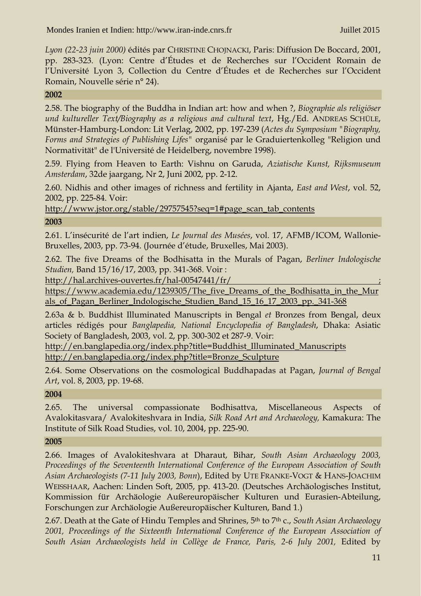*Lyon (22-23 juin 2000)* édités par CHRISTINE CHOJNACKI, Paris: Diffusion De Boccard, 2001, pp. 283-323. (Lyon: Centre d'Études et de Recherches sur l'Occident Romain de l'Université Lyon 3, Collection du Centre d'Études et de Recherches sur l'Occident Romain, Nouvelle série n° 24).

## **2002**

2.58. The biography of the Buddha in Indian art: how and when ?, *Biographie als religiöser und kultureller Text/Biography as a religious and cultural text*, Hg./Ed. ANDREAS SCHÜLE, Münster-Hamburg-London: Lit Verlag, 2002, pp. 197-239 (*Actes du Symposium "Biography, Forms and Strategies of Publishing Lifes"* organisé par le Graduiertenkolleg "Religion und Normativität" de l'Université de Heidelberg, novembre 1998).

2.59. Flying from Heaven to Earth: Vishnu on Garuda, *Aziatische Kunst, Rijksmuseum Amsterdam*, 32de jaargang, Nr 2, Juni 2002, pp. 2-12.

2.60. Nidhis and other images of richness and fertility in Ajanta, *East and West*, vol. 52, 2002, pp. 225-84. Voir:

http://www.jstor.org/stable/29757545?seq=1#page\_scan\_tab\_contents

**2003**

2.61. L'insécurité de l'art indien, *Le Journal des Musées*, vol. 17, AFMB/ICOM, Wallonie-Bruxelles, 2003, pp. 73-94. (Journée d'étude, Bruxelles, Mai 2003).

2.62. The five Dreams of the Bodhisatta in the Murals of Pagan, *Berliner Indologische Studien,* Band 15/16/17, 2003, pp. 341-368. Voir :

http://hal.archives-ouvertes.fr/hal-00547441/fr/ ;

https://www.academia.edu/1239305/The\_five\_Dreams\_of\_the\_Bodhisatta\_in\_the\_Mur als\_of\_Pagan\_Berliner\_Indologische\_Studien\_Band\_15\_16\_17\_2003\_pp.\_341-368

2.63a & b. Buddhist Illuminated Manuscripts in Bengal *et* Bronzes from Bengal, deux articles rédigés pour *Banglapedia, National Encyclopedia of Bangladesh*, Dhaka: Asiatic Society of Bangladesh, 2003, vol. 2, pp. 300-302 et 287-9. Voir:

http://en.banglapedia.org/index.php?title=Buddhist\_Illuminated\_Manuscripts http://en.banglapedia.org/index.php?title=Bronze\_Sculpture

2.64. Some Observations on the cosmological Buddhapadas at Pagan, *Journal of Bengal Art*, vol. 8, 2003, pp. 19-68.

## **2004**

2.65. The universal compassionate Bodhisattva, Miscellaneous Aspects of Avalokitasvara/ Avalokiteshvara in India, *Silk Road Art and Archaeology,* Kamakura: The Institute of Silk Road Studies, vol. 10, 2004, pp. 225-90.

## **2005**

2.66. Images of Avalokiteshvara at Dharaut, Bihar, *South Asian Archaeology 2003, Proceedings of the Seventeenth International Conference of the European Association of South Asian Archaeologists (7-11 July 2003, Bonn*), Edited by UTE FRANKE-VOGT & HANS-JOACHIM WEISSHAAR, Aachen: Linden Soft, 2005, pp. 413-20. (Deutsches Archäologisches Institut, Kommission für Archäologie Außereuropäischer Kulturen und Eurasien-Abteilung, Forschungen zur Archäologie Außereuropäischer Kulturen, Band 1.)

2.67. Death at the Gate of Hindu Temples and Shrines, 5th to 7th c., *South Asian Archaeology 2001, Proceedings of the Sixteenth International Conference of the European Association of*  South Asian Archaeologists held in Collège de France, Paris, 2-6 July 2001, Edited by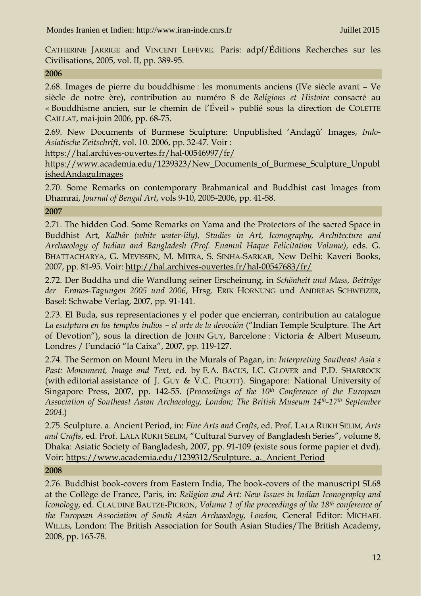CATHERINE JARRIGE and VINCENT LEFÈVRE. Paris: adpf/Éditions Recherches sur les Civilisations, 2005, vol. II, pp. 389-95.

### **2006**

2.68. Images de pierre du bouddhisme : les monuments anciens (IVe siècle avant – Ve siècle de notre ère), contribution au numéro 8 de *Religions et Histoire* consacré au « Bouddhisme ancien, sur le chemin de l'Éveil » publié sous la direction de COLETTE CAILLAT, mai-juin 2006, pp. 68-75.

2.69. New Documents of Burmese Sculpture: Unpublished 'Andagû' Images, *Indo-Asiatische Zeitschrift*, vol. 10. 2006, pp. 32-47. Voir :

https://hal.archives-ouvertes.fr/hal-00546997/fr/

## https://www.academia.edu/1239323/New\_Documents\_of\_Burmese\_Sculpture\_Unpubl ishedAndaguImages

2.70. Some Remarks on contemporary Brahmanical and Buddhist cast Images from Dhamrai, *Journal of Bengal Art*, vols 9-10, 2005-2006, pp. 41-58.

## **2007**

2.71. The hidden God. Some Remarks on Yama and the Protectors of the sacred Space in Buddhist Art, *Kalhâr (white water-lily), Studies in Art, Iconography, Architecture and Archaeology of Indian and Bangladesh (Prof. Enamul Haque Felicitation Volume)*, eds. G. BHATTACHARYA, G. MEVISSEN, M. MITRA, S. SINHA-SARKAR, New Delhi: Kaveri Books, 2007, pp. 81-95. Voir: http://hal.archives-ouvertes.fr/hal-00547683/fr/

2.72. Der Buddha und die Wandlung seiner Erscheinung, in *Schönheit und Mass, Beiträge der Eranos-Tagungen 2005 und 2006*, Hrsg. ERIK HORNUNG und ANDREAS SCHWEIZER, Basel: Schwabe Verlag, 2007, pp. 91-141.

2.73. El Buda, sus representaciones y el poder que encierran, contribution au catalogue *La esulptura en los templos indios – el arte de la devoción* ("Indian Temple Sculpture. The Art of Devotion"), sous la direction de JOHN GUY, Barcelone : Victoria & Albert Museum, Londres / Fundació "la Caixa", 2007, pp. 119-127.

2.74. The Sermon on Mount Meru in the Murals of Pagan, in: *Interpreting Southeast Asia's Past: Monument, Image and Text*, ed. by E.A. BACUS, I.C. GLOVER and P.D. SHARROCK (with editorial assistance of J. GUY & V.C. PIGOTT). Singapore: National University of Singapore Press, 2007, pp. 142-55. (*Proceedings of the 10th Conference of the European Association of Southeast Asian Archaeology, London; The British Museum 14th-17th September 2004*.)

2.75. Sculpture. a. Ancient Period, in: *Fine Arts and Crafts*, ed. Prof. LALA RUKH SELIM, *Arts and Crafts*, ed. Prof. LALA RUKH SELIM, "Cultural Survey of Bangladesh Series", volume 8, Dhaka: Asiatic Society of Bangladesh, 2007, pp. 91-109 (existe sous forme papier et dvd). Voir: https://www.academia.edu/1239312/Sculpture.\_a.\_Ancient\_Period

**2008**

2.76. Buddhist book-covers from Eastern India, The book-covers of the manuscript SL68 at the Collège de France, Paris, in: *Religion and Art: New Issues in Indian Iconography and Iconology*, ed. CLAUDINE BAUTZE-PICRON, *Volume 1 of the proceedings of the 18th conference of the European Association of South Asian Archaeology, London,* General Editor: MICHAEL WILLIS, London: The British Association for South Asian Studies/The British Academy, 2008, pp. 165-78.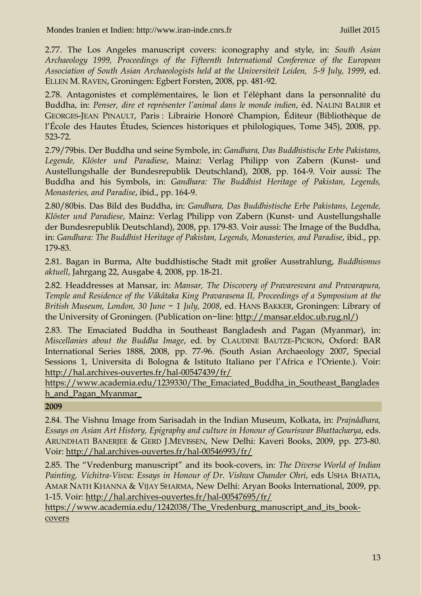2.77. The Los Angeles manuscript covers: iconography and style, in: *South Asian Archaeology 1999, Proceedings of the Fifteenth International Conference of the European Association of South Asian Archaeologists held at the Universiteit Leiden, 5-9 July, 1999*, ed. ELLEN M. RAVEN, Groningen: Egbert Forsten, 2008, pp. 481-92.

2.78. Antagonistes et complémentaires, le lion et l'éléphant dans la personnalité du Buddha, in: *Penser, dire et représenter l'animal dans le monde indien*, éd. NALINI BALBIR et GEORGES-JEAN PINAULT, Paris : Librairie Honoré Champion, Éditeur (Bibliothèque de l'École des Hautes Études, Sciences historiques et philologiques, Tome 345), 2008, pp. 523-72.

2.79/79bis. Der Buddha und seine Symbole, in: *Gandhara, Das Buddhistische Erbe Pakistans, Legende, Klöster und Paradiese*, Mainz: Verlag Philipp von Zabern (Kunst- und Austellungshalle der Bundesrepublik Deutschland), 2008, pp. 164-9. Voir aussi: The Buddha and his Symbols, in: *Gandhara: The Buddhist Heritage of Pakistan, Legends, Monasteries, and Paradise*, ibid., pp. 164-9.

2.80/80bis. Das Bild des Buddha, in: *Gandhara, Das Buddhistische Erbe Pakistans, Legende, Klöster und Paradiese*, Mainz: Verlag Philipp von Zabern (Kunst- und Austellungshalle der Bundesrepublik Deutschland), 2008, pp. 179-83. Voir aussi: The Image of the Buddha, in: *Gandhara: The Buddhist Heritage of Pakistan, Legends, Monasteries, and Paradise*, ibid., pp. 179-83.

2.81. Bagan in Burma, Alte buddhistische Stadt mit großer Ausstrahlung, *Buddhismus aktuell*, Jahrgang 22, Ausgabe 4, 2008, pp. 18-21.

2.82. Headdresses at Mansar, in: *Mansar, The Discovery of Pravaresvara and Pravarapura, Temple and Residence of the Vâkâtaka King Pravarasena II, Proceedings of a Symposium at the British Museum, London, 30 June − 1 July, 2008*, ed. HANS BAKKER, Groningen: Library of the University of Groningen. (Publication on−line: http://mansar.eldoc.ub.rug.nl/)

2.83. The Emaciated Buddha in Southeast Bangladesh and Pagan (Myanmar), in: *Miscellanies about the Buddha Image*, ed. by CLAUDINE BAUTZE-PICRON, Oxford: BAR International Series 1888, 2008, pp. 77-96. (South Asian Archaeology 2007, Special Sessions 1, Universita di Bologna & Istituto Italiano per l'Africa e l'Oriente.). Voir: http://hal.archives-ouvertes.fr/hal-00547439/fr/

https://www.academia.edu/1239330/The\_Emaciated\_Buddha\_in\_Southeast\_Banglades h\_and\_Pagan\_Myanmar\_

## **2009**

2.84. The Vishnu Image from Sarisadah in the Indian Museum, Kolkata, in: *Prajnâdhara, Essays on Asian Art History, Epigraphy and culture in Honour of Gouriswar Bhattacharya*, eds. ARUNDHATI BANERJEE & GERD J.MEVISSEN, New Delhi: Kaveri Books, 2009, pp. 273-80. Voir: http://hal.archives-ouvertes.fr/hal-00546993/fr/

2.85. The "Vredenburg manuscript" and its book-covers, in: *The Diverse World of Indian Painting, Vichitra-Visva: Essays in Honour of Dr. Vishwa Chander Ohri*, eds USHA BHATIA, AMAR NATH KHANNA & VIJAY SHARMA, New Delhi: Aryan Books International, 2009, pp. 1-15. Voir: http://hal.archives-ouvertes.fr/hal-00547695/fr/

https://www.academia.edu/1242038/The\_Vredenburg\_manuscript\_and\_its\_bookcovers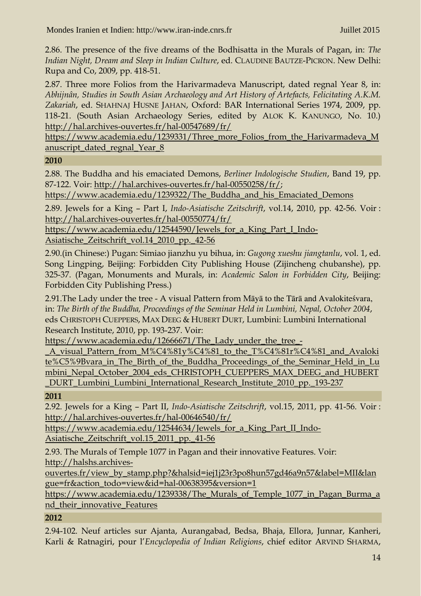2.86. The presence of the five dreams of the Bodhisatta in the Murals of Pagan, in: *The Indian Night, Dream and Sleep in Indian Culture*, ed. CLAUDINE BAUTZE-PICRON. New Delhi: Rupa and Co, 2009, pp. 418-51.

2.87. Three more Folios from the Harivarmadeva Manuscript, dated regnal Year 8, in: *Abhijnân, Studies in South Asian Archaeology and Art History of Artefacts, Felicitating A.K.M. Zakariah*, ed. SHAHNAJ HUSNE JAHAN, Oxford: BAR International Series 1974, 2009, pp. 118-21. (South Asian Archaeology Series, edited by ALOK K. KANUNGO, No. 10.) http://hal.archives-ouvertes.fr/hal-00547689/fr/

https://www.academia.edu/1239331/Three\_more\_Folios\_from\_the\_Harivarmadeva\_M anuscript\_dated\_regnal\_Year\_8

**2010** 

2.88. The Buddha and his emaciated Demons, *Berliner Indologische Studien*, Band 19, pp. 87-122. Voir: http://hal.archives-ouvertes.fr/hal-00550258/fr/;

https://www.academia.edu/1239322/The\_Buddha\_and\_his\_Emaciated\_Demons

2.89. Jewels for a King – Part I, *Indo-Asiatische Zeitschrift*, vol.14, 2010, pp. 42-56. Voir : http://hal.archives-ouvertes.fr/hal-00550774/fr/

https://www.academia.edu/12544590/Jewels\_for\_a\_King\_Part\_I\_Indo-

Asiatische\_Zeitschrift\_vol.14\_2010\_pp.\_42-56

2.90.(in Chinese:) Pugan: Simiao jianzhu yu bihua, in: *Gugong xueshu jiangtanlu*, vol. 1, ed. Song Lingping, Beijing: Forbidden City Publishing House (Zijincheng chubanshe), pp. 325-37. (Pagan, Monuments and Murals, in: *Academic Salon in Forbidden City*, Beijing: Forbidden City Publishing Press.)

2.91.The Lady under the tree - A visual Pattern from Māyā to the Tārā and Avalokiteśvara, in: *The Birth of the Buddha, Proceedings of the Seminar Held in Lumbini, Nepal, October 2004*, eds CHRISTOPH CUEPPERS, MAX DEEG & HUBERT DURT, Lumbini: Lumbini International Research Institute, 2010, pp. 193-237. Voir:

https://www.academia.edu/12666671/The\_Lady\_under\_the\_tree\_-

\_A\_visual\_Pattern\_from\_M%C4%81y%C4%81\_to\_the\_T%C4%81r%C4%81\_and\_Avaloki te%C5%9Bvara\_in\_The\_Birth\_of\_the\_Buddha\_Proceedings\_of\_the\_Seminar\_Held\_in\_Lu mbini\_Nepal\_October\_2004\_eds\_CHRISTOPH\_CUEPPERS\_MAX\_DEEG\_and\_HUBERT \_DURT\_Lumbini\_Lumbini\_International\_Research\_Institute\_2010\_pp.\_193-237

**2011**

2.92. Jewels for a King – Part II, *Indo-Asiatische Zeitschrift*, vol.15, 2011, pp. 41-56. Voir : http://hal.archives-ouvertes.fr/hal-00646540/fr/

https://www.academia.edu/12544634/Jewels\_for\_a\_King\_Part\_II\_Indo-Asiatische\_Zeitschrift\_vol.15\_2011\_pp.\_41-56

2.93. The Murals of Temple 1077 in Pagan and their innovative Features. Voir: http://halshs.archives-

ouvertes.fr/view\_by\_stamp.php?&halsid=iej1j23r3po8hun57gd46a9n57&label=MII&lan gue=fr&action\_todo=view&id=hal-00638395&version=1

https://www.academia.edu/1239338/The\_Murals\_of\_Temple\_1077\_in\_Pagan\_Burma\_a nd\_their\_innovative\_Features

**2012**

2.94-102. Neuf articles sur Ajanta, Aurangabad, Bedsa, Bhaja, Ellora, Junnar, Kanheri, Karli & Ratnagiri, pour l'*Encyclopedia of Indian Religions*, chief editor ARVIND SHARMA,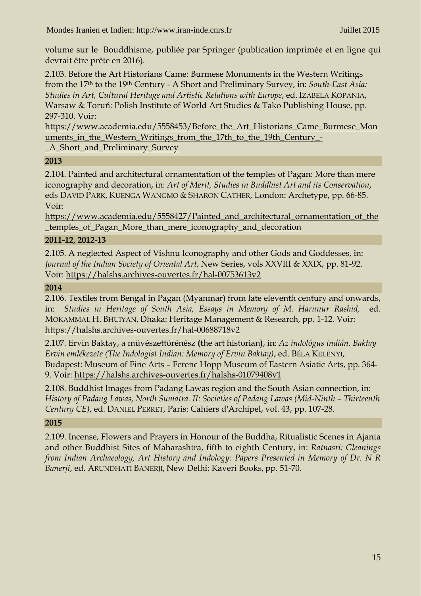volume sur le Bouddhisme, publiée par Springer (publication imprimée et en ligne qui devrait être prête en 2016).

2.103. Before the Art Historians Came: Burmese Monuments in the Western Writings from the 17th to the 19th Century - A Short and Preliminary Survey, in: *South-East Asia: Studies in Art, Cultural Heritage and Artistic Relations with Europe*, ed. IZABELA KOPANIA, Warsaw & Toruń: Polish Institute of World Art Studies & Tako Publishing House, pp. 297-310. Voir:

https://www.academia.edu/5558453/Before\_the\_Art\_Historians\_Came\_Burmese\_Mon uments\_in\_the\_Western\_Writings\_from\_the\_17th\_to\_the\_19th\_Century\_-

\_A\_Short\_and\_Preliminary\_Survey

## **2013**

2.104. Painted and architectural ornamentation of the temples of Pagan: More than mere iconography and decoration, in: *Art of Merit, Studies in Buddhist Art and its Conservation*, eds DAVID PARK, KUENGA WANGMO & SHARON CATHER, London: Archetype, pp. 66-85. Voir:

https://www.academia.edu/5558427/Painted\_and\_architectural\_ornamentation\_of\_the \_temples\_of\_Pagan\_More\_than\_mere\_iconography\_and\_decoration

## **2011-12, 2012-13**

2.105. A neglected Aspect of Vishnu Iconography and other Gods and Goddesses, in: *Journal of the Indian Society of Oriental Art*, New Series, vols XXVIII & XXIX, pp. 81-92. Voir: https://halshs.archives-ouvertes.fr/hal-00753613v2

## **2014**

2.106. Textiles from Bengal in Pagan (Myanmar) from late eleventh century and onwards, in: *Studies in Heritage of South Asia, Essays in Memory of M. Harunur Rashid,* ed. MOKAMMAL H. BHUIYAN, Dhaka: Heritage Management & Research, pp. 1-12. Voir: https://halshs.archives-ouvertes.fr/hal-00688718v2

2.107. Ervin Baktay, a müvészettörénész **(**the art historian**)**, in: *Az indológus indián. Baktay Ervin emlékezete (The Indologist Indian: Memory of Ervin Baktay)*, ed. BÉLA KELÉNYI, Budapest: Museum of Fine Arts – Ferenc Hopp Museum of Eastern Asiatic Arts, pp. 364- 9. Voir: https://halshs.archives-ouvertes.fr/halshs-01079408v1

2.108. Buddhist Images from Padang Lawas region and the South Asian connection, in: *History of Padang Lawas, North Sumatra. II: Societies of Padang Lawas (Mid-Ninth – Thirteenth Century CE)*, ed. DANIEL PERRET, Paris: Cahiers d'Archipel, vol. 43, pp. 107-28.

## **2015**

2.109. Incense, Flowers and Prayers in Honour of the Buddha, Ritualistic Scenes in Ajanta and other Buddhist Sites of Maharashtra, fifth to eighth Century, in: *Ratnasri: Gleanings from Indian Archaeology, Art History and Indology: Papers Presented in Memory of Dr. N R Banerji*, ed. ARUNDHATI BANERJI, New Delhi: Kaveri Books, pp. 51-70.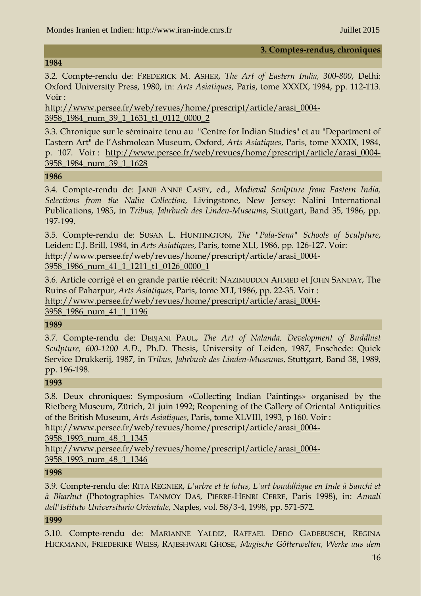#### **3. Comptes-rendus, chroniques**

## **1984**

3.2. Compte-rendu de: FREDERICK M. ASHER, *The Art of Eastern India, 300-800*, Delhi: Oxford University Press, 1980, in: *Arts Asiatiques*, Paris, tome XXXIX, 1984, pp. 112-113. Voir :

http://www.persee.fr/web/revues/home/prescript/article/arasi\_0004- 3958\_1984\_num\_39\_1\_1631\_t1\_0112\_0000\_2

3.3. Chronique sur le séminaire tenu au "Centre for Indian Studies" et au "Department of Eastern Art" de l'Ashmolean Museum, Oxford, *Arts Asiatiques*, Paris, tome XXXIX, 1984, p. 107. Voir : http://www.persee.fr/web/revues/home/prescript/article/arasi\_0004- 3958\_1984\_num\_39\_1\_1628

### **1986**

3.4. Compte-rendu de: JANE ANNE CASEY, ed., *Medieval Sculpture from Eastern India, Selections from the Nalin Collection*, Livingstone, New Jersey: Nalini International Publications, 1985, in *Tribus, Jahrbuch des Linden-Museums*, Stuttgart, Band 35, 1986, pp. 197-199.

3.5. Compte-rendu de: SUSAN L. HUNTINGTON, *The "Pala-Sena" Schools of Sculpture*, Leiden: E.J. Brill, 1984, in *Arts Asiatiques*, Paris, tome XLI, 1986, pp. 126-127. Voir: http://www.persee.fr/web/revues/home/prescript/article/arasi\_0004- 3958\_1986\_num\_41\_1\_1211\_t1\_0126\_0000\_1

3.6. Article corrigé et en grande partie réécrit: NAZIMUDDIN AHMED et JOHN SANDAY, The Ruins of Paharpur, *Arts Asiatiques*, Paris, tome XLI, 1986, pp. 22-35. Voir : http://www.persee.fr/web/revues/home/prescript/article/arasi\_0004- 3958\_1986\_num\_41\_1\_1196

## **1989**

3.7. Compte-rendu de: DEBJANI PAUL, *The Art of Nalanda, Development of Buddhist Sculpture, 600-1200 A.D.*, Ph.D. Thesis, University of Leiden, 1987, Enschede: Quick Service Drukkerij, 1987, in *Tribus, Jahrbuch des Linden-Museums*, Stuttgart, Band 38, 1989, pp. 196-198.

## **1993**

3.8. Deux chroniques: Symposium «Collecting Indian Paintings» organised by the Rietberg Museum, Zürich, 21 juin 1992; Reopening of the Gallery of Oriental Antiquities of the British Museum, *Arts Asiatiques*, Paris, tome XLVIII, 1993, p 160. Voir :

http://www.persee.fr/web/revues/home/prescript/article/arasi\_0004-

3958\_1993\_num\_48\_1\_1345

http://www.persee.fr/web/revues/home/prescript/article/arasi\_0004- 3958\_1993\_num\_48\_1\_1346

## **1998**

3.9. Compte-rendu de: RITA REGNIER, *L'arbre et le lotus, L'art bouddhique en Inde à Sanchi et à Bharhut* (Photographies TANMOY DAS, PIERRE-HENRI CERRE, Paris 1998), in: *Annali dell'Istituto Universitario Orientale*, Naples, vol. 58/3-4, 1998, pp. 571-572.

## **1999**

3.10. Compte-rendu de: MARIANNE YALDIZ, RAFFAEL DEDO GADEBUSCH, REGINA HICKMANN, FRIEDERIKE WEISS, RAJESHWARI GHOSE, *Magische Götterwelten, Werke aus dem*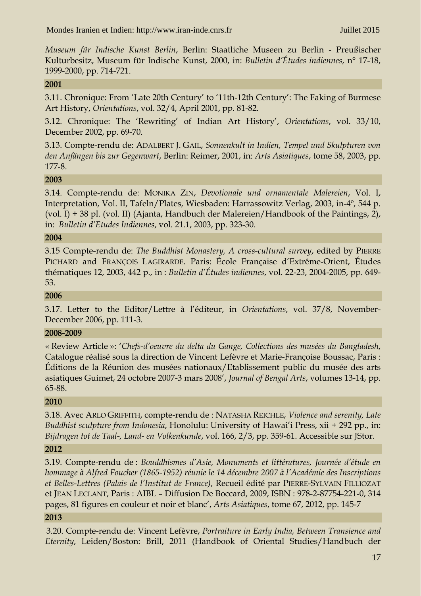*Museum für Indische Kunst Berlin*, Berlin: Staatliche Museen zu Berlin - Preußischer Kulturbesitz, Museum für Indische Kunst, 2000, in: *Bulletin d'Études indiennes*, n° 17-18, 1999-2000, pp. 714-721.

### **2001**

3.11. Chronique: From 'Late 20th Century' to '11th-12th Century': The Faking of Burmese Art History, *Orientations*, vol. 32/4, April 2001, pp. 81-82.

3.12. Chronique: The 'Rewriting' of Indian Art History', *Orientations*, vol. 33/10, December 2002, pp. 69-70.

3.13. Compte-rendu de: ADALBERT J. GAIL, *Sonnenkult in Indien, Tempel und Skulpturen von den Anfängen bis zur Gegenwart*, Berlin: Reimer, 2001, in: *Arts Asiatiques*, tome 58, 2003, pp. 177-8.

### **2003**

3.14. Compte-rendu de: MONIKA ZIN, *Devotionale und ornamentale Malereien*, Vol. I, Interpretation, Vol. II, Tafeln/Plates, Wiesbaden: Harrassowitz Verlag, 2003, in-4º, 544 p. (vol. I) + 38 pl. (vol. II) (Ajanta, Handbuch der Malereien/Handbook of the Paintings, 2), in: *Bulletin d'Etudes Indiennes*, vol. 21.1, 2003, pp. 323-30.

## **2004**

3.15 Compte-rendu de: *The Buddhist Monastery, A cross-cultural survey*, edited by PIERRE PICHARD and FRANÇOIS LAGIRARDE. Paris: École Française d'Extrême-Orient, Études thématiques 12, 2003, 442 p., in : *Bulletin d'Études indiennes*, vol. 22-23, 2004-2005, pp. 649- 53.

### **2006**

3.17. Letter to the Editor/Lettre à l'éditeur, in *Orientations*, vol. 37/8, November-December 2006, pp. 111-3.

## **2008-2009**

« Review Article »: '*Chefs-d'oeuvre du delta du Gange, Collections des musées du Bangladesh*, Catalogue réalisé sous la direction de Vincent Lefèvre et Marie-Françoise Boussac, Paris : Éditions de la Réunion des musées nationaux/Etablissement public du musée des arts asiatiques Guimet, 24 octobre 2007-3 mars 2008', *Journal of Bengal Arts*, volumes 13-14, pp. 65-88.

## **2010**

3.18. Avec ARLO GRIFFITH, compte-rendu de : NATASHA REICHLE, *Violence and serenity, Late Buddhist sculpture from Indonesia*, Honolulu: University of Hawai'i Press, xii + 292 pp., in: *Bijdragen tot de Taal-, Land- en Volkenkunde*, vol. 166, 2/3, pp. 359-61. Accessible sur JStor.

## **2012**

3.19. Compte-rendu de : *Bouddhismes d'Asie, Monuments et littératures, Journée d'étude en hommage à Alfred Foucher (1865-1952) réunie le 14 décembre 2007 à l'Académie des Inscriptions et Belles-Lettres (Palais de l'Institut de France)*, Recueil édité par PIERRE-SYLVAIN FILLIOZAT et JEAN LECLANT, Paris : AIBL – Diffusion De Boccard, 2009, ISBN : 978-2-87754-221-0, 314 pages, 81 figures en couleur et noir et blanc', *Arts Asiatiques*, tome 67, 2012, pp. 145-7

## **2013**

 3.20. Compte-rendu de: Vincent Lefèvre, *Portraiture in Early India, Between Transience and Eternity*, Leiden/Boston: Brill, 2011 (Handbook of Oriental Studies/Handbuch der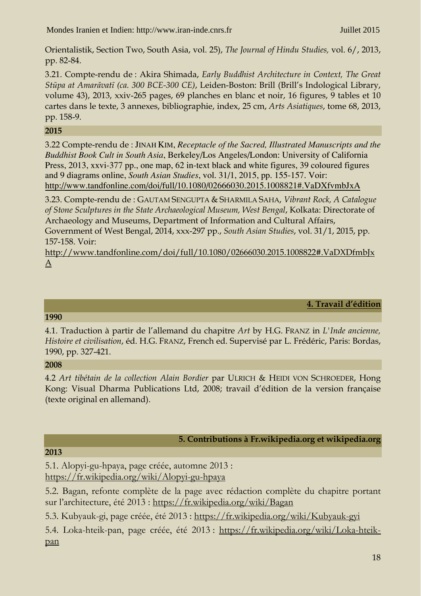Orientalistik, Section Two, South Asia, vol. 25), *The Journal of Hindu Studies,* vol. 6/, 2013, pp. 82-84.

3.21. Compte-rendu de : Akira Shimada, *Early Buddhist Architecture in Context, The Great Stūpa at Amarāvatī (ca. 300 BCE-300 CE)*, Leiden-Boston: Brill (Brill's Indological Library, volume 43), 2013, xxiv-265 pages, 69 planches en blanc et noir, 16 figures, 9 tables et 10 cartes dans le texte, 3 annexes, bibliographie, index, 25 cm, *Arts Asiatiques*, tome 68, 2013, pp. 158-9.

## **2015**

3.22 Compte-rendu de : JINAH KIM, *Receptacle of the Sacred, Illustrated Manuscripts and the Buddhist Book Cult in South Asia*, Berkeley/Los Angeles/London: University of California Press, 2013, xxvi-377 pp., one map, 62 in-text black and white figures, 39 coloured figures and 9 diagrams online, *South Asian Studies*, vol. 31/1, 2015, pp. 155-157. Voir: http://www.tandfonline.com/doi/full/10.1080/02666030.2015.1008821#.VaDXfvmbJxA

3.23. Compte-rendu de : GAUTAM SENGUPTA & SHARMILA SAHA, *Vibrant Rock, A Catalogue of Stone Sculptures in the State Archaeological Museum, West Bengal*, Kolkata: Directorate of Archaeology and Museums, Department of Information and Cultural Affairs, Government of West Bengal, 2014, xxx-297 pp., *South Asian Studies*, vol. 31/1, 2015, pp. 157-158. Voir:

http://www.tandfonline.com/doi/full/10.1080/02666030.2015.1008822#.VaDXDfmbJx A

**4. Travail d'édition**

## **1990**

4.1. Traduction à partir de l'allemand du chapitre *Art* by H.G. FRANZ in *L'Inde ancienne, Histoire et civilisation*, éd. H.G. FRANZ, French ed. Supervisé par L. Frédéric, Paris: Bordas, 1990, pp. 327-421.

## **2008**

4.2 *Art tibétain de la collection Alain Bordier* par ULRICH & HEIDI VON SCHROEDER, Hong Kong: Visual Dharma Publications Ltd, 2008; travail d'édition de la version française (texte original en allemand).

## **5. Contributions à Fr.wikipedia.org et wikipedia.org**

## **2013**

5.1. Alopyi-gu-hpaya, page créée, automne 2013 : https://fr.wikipedia.org/wiki/Alopyi-gu-hpaya

5.2. Bagan, refonte complète de la page avec rédaction complète du chapitre portant sur l'architecture, été 2013 : https://fr.wikipedia.org/wiki/Bagan

5.3. Kubyauk-gi, page créée, été 2013 : https://fr.wikipedia.org/wiki/Kubyauk-gyi

5.4. Loka-hteik-pan, page créée, été 2013 : https://fr.wikipedia.org/wiki/Loka-hteikpan